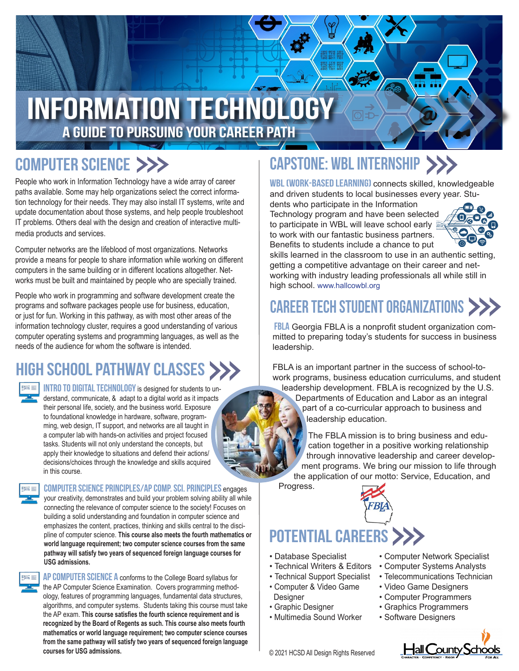# Information Technology A Guide to pursuing your career path

### COMPUTER SCIENCE >>>

People who work in Information Technology have a wide array of career paths available. Some may help organizations select the correct information technology for their needs. They may also install IT systems, write and update documentation about those systems, and help people troubleshoot IT problems. Others deal with the design and creation of interactive multimedia products and services.

Computer networks are the lifeblood of most organizations. Networks provide a means for people to share information while working on different computers in the same building or in different locations altogether. Networks must be built and maintained by people who are specially trained.

People who work in programming and software development create the programs and software packages people use for business, education, or just for fun. Working in this pathway, as with most other areas of the information technology cluster, requires a good understanding of various computer operating systems and programming languages, as well as the needs of the audience for whom the software is intended.

## HIGH SCHOOL PATHWAY CLASSES >



INTRO TO DIGITAL TECHNOLOGY is designed for students to understand, communicate, & adapt to a digital world as it impacts their personal life, society, and the business world. Exposure to foundational knowledge in hardware, software, programming, web design, IT support, and networks are all taught in a computer lab with hands-on activities and project focused tasks. Students will not only understand the concepts, but apply their knowledge to situations and defend their actions/ decisions/choices through the knowledge and skills acquired in this course.



Computer Science Principles/AP Comp. Sci. Principles engages

your creativity, demonstrates and build your problem solving ability all while connecting the relevance of computer science to the society! Focuses on building a solid understanding and foundation in computer science and emphasizes the content, practices, thinking and skills central to the discipline of computer science. **This course also meets the fourth mathematics or world language requirement; two computer science courses from the same pathway will satisfy two years of sequenced foreign language courses for USG admissions.**



AP COMPUTER SCIENCE A conforms to the College Board syllabus for the AP Computer Science Examination. Covers programming methodology, features of programming languages, fundamental data structures, algorithms, and computer systems. Students taking this course must take the AP exam. **This course satisfies the fourth science requirement and is recognized by the Board of Regents as such. This course also meets fourth mathematics or world language requirement; two computer science courses from the same pathway will satisfy two years of sequenced foreign language courses for USG admissions. Courses for USG admissions. Courses for USG admissions. Courses for USG admissions.** 

# capstone: wbl internship

WBL (WORK-BASED LEARNING) connects skilled, knowledgeable and driven students to local businesses every year. Stu-

dents who participate in the Information Technology program and have been selected to participate in WBL will leave school early to work with our fantastic business partners. Benefits to students include a chance to put



skills learned in the classroom to use in an authentic setting, getting a competitive advantage on their career and networking with industry leading professionals all while still in high school. www.hallcowbl.org

## CAREER TECH STUDENT ORGANIZATIONS

**FBLA** Georgia FBLA is a nonprofit student organization committed to preparing today's students for success in business leadership.

FBLA is an important partner in the success of school-towork programs, business education curriculums, and student leadership development. FBLA is recognized by the U.S. Departments of Education and Labor as an integral part of a co-curricular approach to business and

leadership education.

The FBLA mission is to bring business and education together in a positive working relationship through innovative leadership and career development programs. We bring our mission to life through the application of our motto: Service, Education, and

Progress.

# POTENTIAL CAREERS >>>

- Database Specialist
- Technical Writers & Editors
- Technical Support Specialist • Computer & Video Game
- Designer
- Graphic Designer
- Multimedia Sound Worker
- Computer Network Specialist
- Computer Systems Analysts
- Telecommunications Technician
- Video Game Designers
- Computer Programmers
- Graphics Programmers
- Software Designers